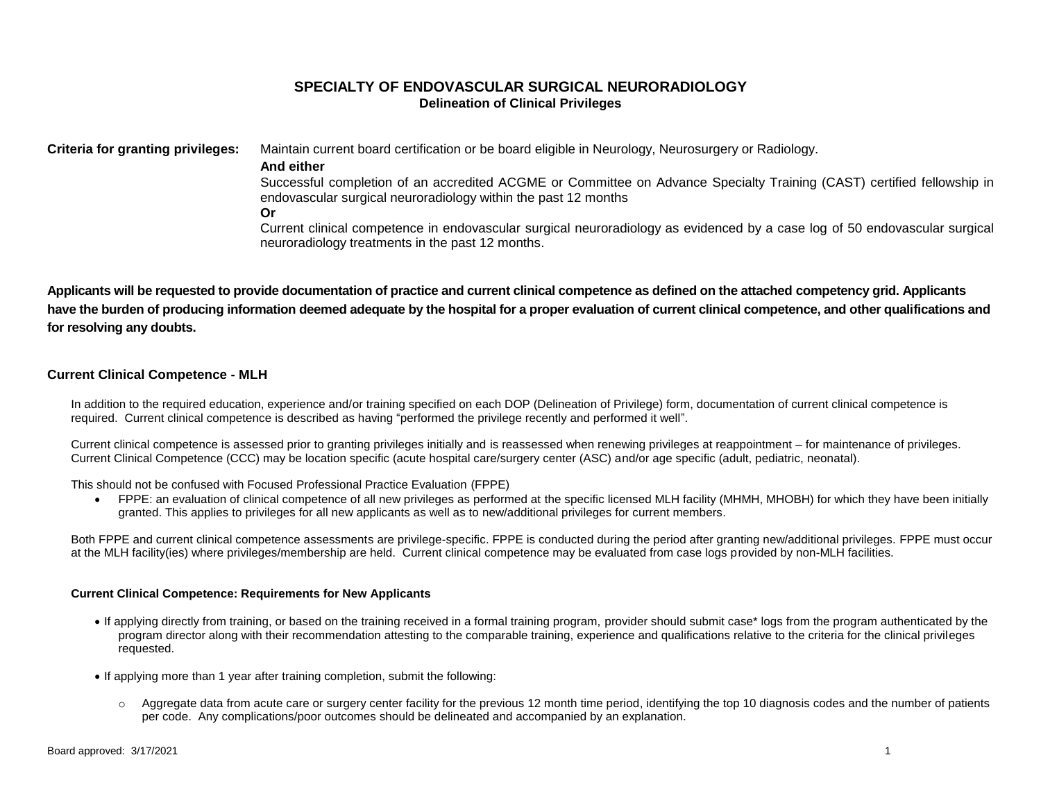# **SPECIALTY OF ENDOVASCULAR SURGICAL NEURORADIOLOGY Delineation of Clinical Privileges**

**Criteria for granting privileges:** Maintain current board certification or be board eligible in Neurology, Neurosurgery or Radiology.

## **And either**

Successful completion of an accredited ACGME or Committee on Advance Specialty Training (CAST) certified fellowship in endovascular surgical neuroradiology within the past 12 months

**Or**

Current clinical competence in endovascular surgical neuroradiology as evidenced by a case log of 50 endovascular surgical neuroradiology treatments in the past 12 months.

**Applicants will be requested to provide documentation of practice and current clinical competence as defined on the attached competency grid. Applicants have the burden of producing information deemed adequate by the hospital for a proper evaluation of current clinical competence, and other qualifications and for resolving any doubts.**

# **Current Clinical Competence - MLH**

In addition to the required education, experience and/or training specified on each DOP (Delineation of Privilege) form, documentation of current clinical competence is required. Current clinical competence is described as having "performed the privilege recently and performed it well".

Current clinical competence is assessed prior to granting privileges initially and is reassessed when renewing privileges at reappointment – for maintenance of privileges. Current Clinical Competence (CCC) may be location specific (acute hospital care/surgery center (ASC) and/or age specific (adult, pediatric, neonatal).

This should not be confused with Focused Professional Practice Evaluation (FPPE)

 FPPE: an evaluation of clinical competence of all new privileges as performed at the specific licensed MLH facility (MHMH, MHOBH) for which they have been initially granted. This applies to privileges for all new applicants as well as to new/additional privileges for current members.

Both FPPE and current clinical competence assessments are privilege-specific. FPPE is conducted during the period after granting new/additional privileges. FPPE must occur at the MLH facility(ies) where privileges/membership are held. Current clinical competence may be evaluated from case logs provided by non-MLH facilities.

## **Current Clinical Competence: Requirements for New Applicants**

- If applying directly from training, or based on the training received in a formal training program, provider should submit case\* logs from the program authenticated by the program director along with their recommendation attesting to the comparable training, experience and qualifications relative to the criteria for the clinical privileges requested.
- If applying more than 1 year after training completion, submit the following:
	- $\circ$  Aggregate data from acute care or surgery center facility for the previous 12 month time period, identifying the top 10 diagnosis codes and the number of patients per code. Any complications/poor outcomes should be delineated and accompanied by an explanation.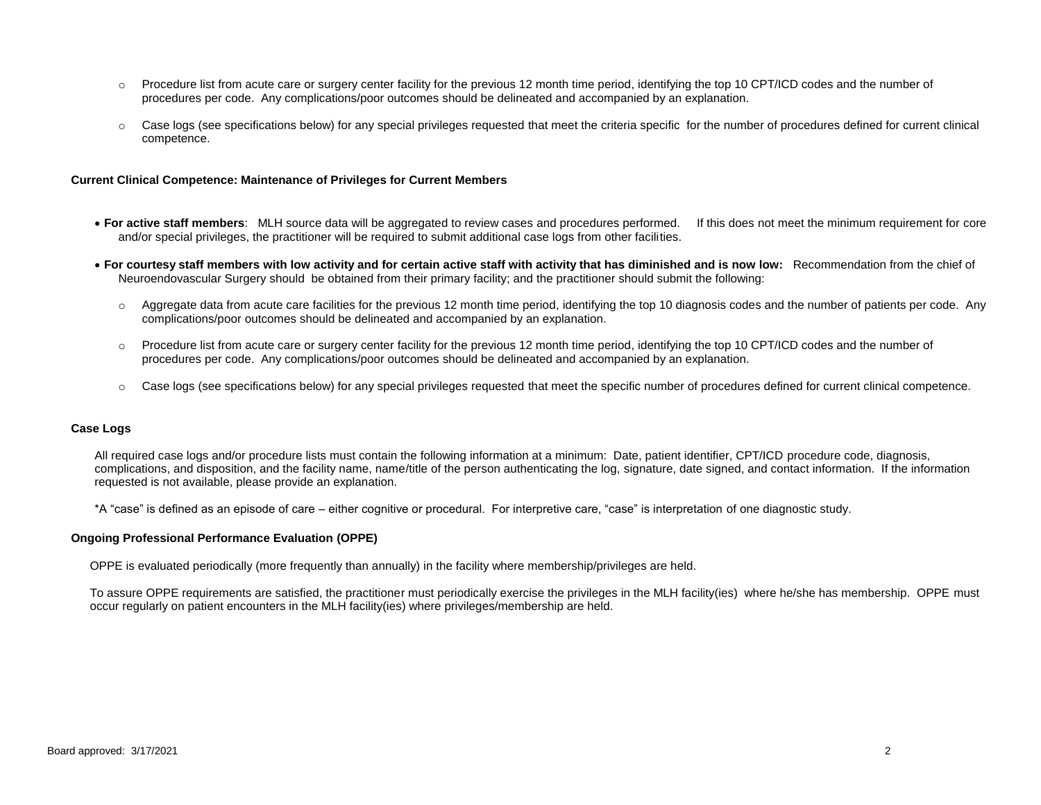- o Procedure list from acute care or surgery center facility for the previous 12 month time period, identifying the top 10 CPT/ICD codes and the number of procedures per code. Any complications/poor outcomes should be delineated and accompanied by an explanation.
- $\circ$  Case logs (see specifications below) for any special privileges requested that meet the criteria specific for the number of procedures defined for current clinical competence.

## **Current Clinical Competence: Maintenance of Privileges for Current Members**

- **For active staff members**: MLH source data will be aggregated to review cases and procedures performed. If this does not meet the minimum requirement for core and/or special privileges, the practitioner will be required to submit additional case logs from other facilities.
- **For courtesy staff members with low activity and for certain active staff with activity that has diminished and is now low:** Recommendation from the chief of Neuroendovascular Surgery should be obtained from their primary facility; and the practitioner should submit the following:
	- $\circ$  Aggregate data from acute care facilities for the previous 12 month time period, identifying the top 10 diagnosis codes and the number of patients per code. Any complications/poor outcomes should be delineated and accompanied by an explanation.
	- $\circ$  Procedure list from acute care or surgery center facility for the previous 12 month time period, identifying the top 10 CPT/ICD codes and the number of procedures per code. Any complications/poor outcomes should be delineated and accompanied by an explanation.
	- o Case logs (see specifications below) for any special privileges requested that meet the specific number of procedures defined for current clinical competence.

### **Case Logs**

All required case logs and/or procedure lists must contain the following information at a minimum: Date, patient identifier, CPT/ICD procedure code, diagnosis, complications, and disposition, and the facility name, name/title of the person authenticating the log, signature, date signed, and contact information. If the information requested is not available, please provide an explanation.

\*A "case" is defined as an episode of care – either cognitive or procedural. For interpretive care, "case" is interpretation of one diagnostic study.

### **Ongoing Professional Performance Evaluation (OPPE)**

OPPE is evaluated periodically (more frequently than annually) in the facility where membership/privileges are held.

To assure OPPE requirements are satisfied, the practitioner must periodically exercise the privileges in the MLH facility(ies) where he/she has membership. OPPE must occur regularly on patient encounters in the MLH facility(ies) where privileges/membership are held.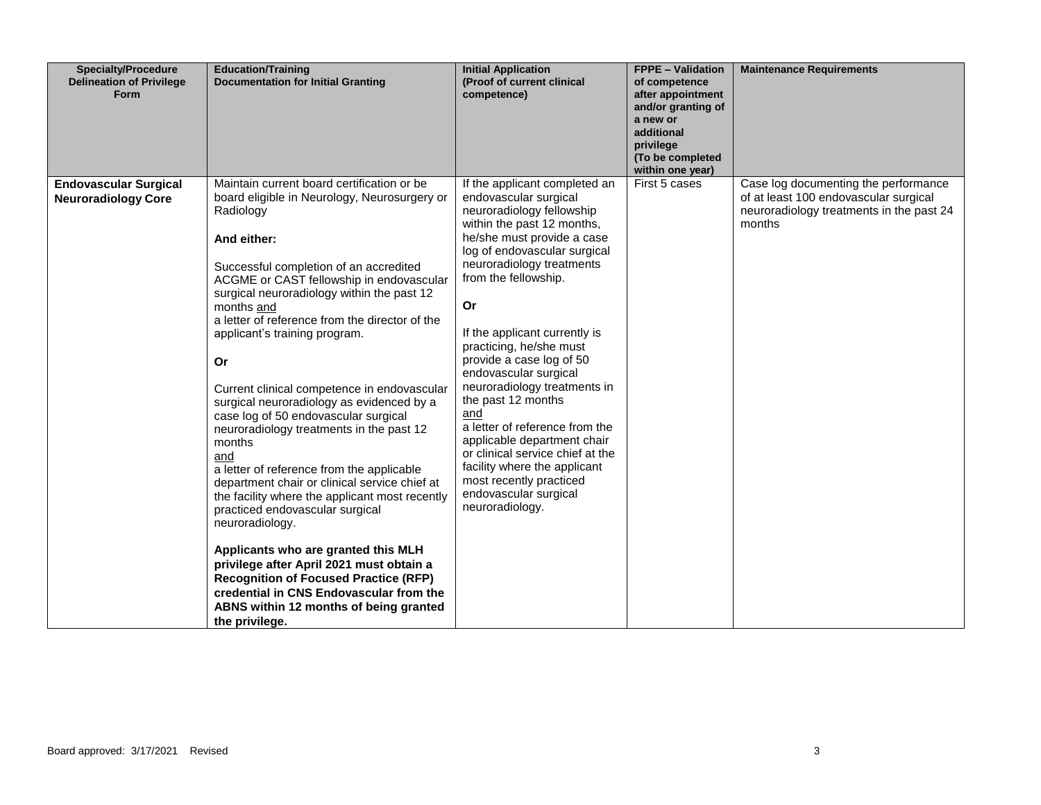| <b>Specialty/Procedure</b><br><b>Delineation of Privilege</b><br><b>Form</b> | <b>Education/Training</b><br><b>Documentation for Initial Granting</b>                                                                                                                                                                                                                                                                                                                                                                                                                                                                                                                                                                                                                                                                                                                                                                                                                                                                                                                                             | <b>Initial Application</b><br>(Proof of current clinical<br>competence)                                                                                                                                                                                                                                                                                                                                                                                                                                                                                                                                                              | <b>FPPE - Validation</b><br>of competence<br>after appointment<br>and/or granting of<br>a new or<br>additional<br>privilege<br>(To be completed<br>within one year) | <b>Maintenance Requirements</b>                                                                                                     |
|------------------------------------------------------------------------------|--------------------------------------------------------------------------------------------------------------------------------------------------------------------------------------------------------------------------------------------------------------------------------------------------------------------------------------------------------------------------------------------------------------------------------------------------------------------------------------------------------------------------------------------------------------------------------------------------------------------------------------------------------------------------------------------------------------------------------------------------------------------------------------------------------------------------------------------------------------------------------------------------------------------------------------------------------------------------------------------------------------------|--------------------------------------------------------------------------------------------------------------------------------------------------------------------------------------------------------------------------------------------------------------------------------------------------------------------------------------------------------------------------------------------------------------------------------------------------------------------------------------------------------------------------------------------------------------------------------------------------------------------------------------|---------------------------------------------------------------------------------------------------------------------------------------------------------------------|-------------------------------------------------------------------------------------------------------------------------------------|
| <b>Endovascular Surgical</b><br><b>Neuroradiology Core</b>                   | Maintain current board certification or be<br>board eligible in Neurology, Neurosurgery or<br>Radiology<br>And either:<br>Successful completion of an accredited<br>ACGME or CAST fellowship in endovascular<br>surgical neuroradiology within the past 12<br>months and<br>a letter of reference from the director of the<br>applicant's training program.<br>Or<br>Current clinical competence in endovascular<br>surgical neuroradiology as evidenced by a<br>case log of 50 endovascular surgical<br>neuroradiology treatments in the past 12<br>months<br>and<br>a letter of reference from the applicable<br>department chair or clinical service chief at<br>the facility where the applicant most recently<br>practiced endovascular surgical<br>neuroradiology.<br>Applicants who are granted this MLH<br>privilege after April 2021 must obtain a<br><b>Recognition of Focused Practice (RFP)</b><br>credential in CNS Endovascular from the<br>ABNS within 12 months of being granted<br>the privilege. | If the applicant completed an<br>endovascular surgical<br>neuroradiology fellowship<br>within the past 12 months,<br>he/she must provide a case<br>log of endovascular surgical<br>neuroradiology treatments<br>from the fellowship.<br>Or<br>If the applicant currently is<br>practicing, he/she must<br>provide a case log of 50<br>endovascular surgical<br>neuroradiology treatments in<br>the past 12 months<br>and<br>a letter of reference from the<br>applicable department chair<br>or clinical service chief at the<br>facility where the applicant<br>most recently practiced<br>endovascular surgical<br>neuroradiology. | First 5 cases                                                                                                                                                       | Case log documenting the performance<br>of at least 100 endovascular surgical<br>neuroradiology treatments in the past 24<br>months |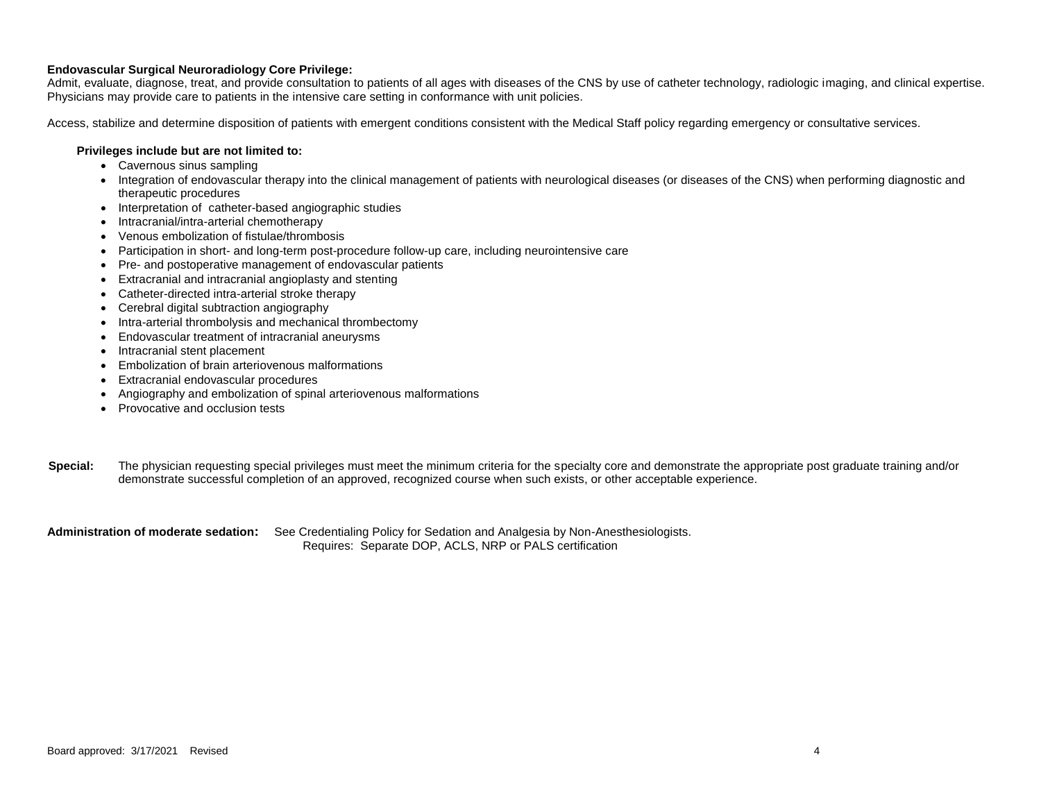## **Endovascular Surgical Neuroradiology Core Privilege:**

Admit, evaluate, diagnose, treat, and provide consultation to patients of all ages with diseases of the CNS by use of catheter technology, radiologic imaging, and clinical expertise. Physicians may provide care to patients in the intensive care setting in conformance with unit policies.

Access, stabilize and determine disposition of patients with emergent conditions consistent with the Medical Staff policy regarding emergency or consultative services.

#### **Privileges include but are not limited to:**

- Cavernous sinus sampling
- Integration of endovascular therapy into the clinical management of patients with neurological diseases (or diseases of the CNS) when performing diagnostic and therapeutic procedures
- Interpretation of catheter-based angiographic studies
- Intracranial/intra-arterial chemotherapy
- Venous embolization of fistulae/thrombosis
- Participation in short- and long-term post-procedure follow-up care, including neurointensive care
- Pre- and postoperative management of endovascular patients
- Extracranial and intracranial angioplasty and stenting
- Catheter-directed intra-arterial stroke therapy
- Cerebral digital subtraction angiography
- Intra-arterial thrombolysis and mechanical thrombectomy
- Endovascular treatment of intracranial aneurysms
- Intracranial stent placement
- Embolization of brain arteriovenous malformations
- Extracranial endovascular procedures
- Angiography and embolization of spinal arteriovenous malformations
- Provocative and occlusion tests
- **Special:** The physician requesting special privileges must meet the minimum criteria for the specialty core and demonstrate the appropriate post graduate training and/or demonstrate successful completion of an approved, recognized course when such exists, or other acceptable experience.

**Administration of moderate sedation:** See Credentialing Policy for Sedation and Analgesia by Non-Anesthesiologists. Requires: Separate DOP, ACLS, NRP or PALS certification